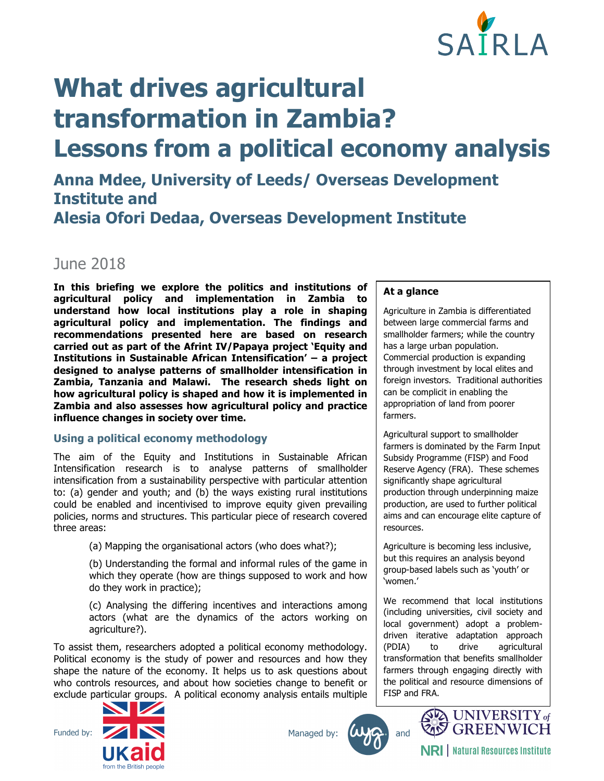

# **What drives agricultural transformation in Zambia? Lessons from a political economy analysis**

# **Anna Mdee, University of Leeds/ Overseas Development Institute and Alesia Ofori Dedaa, Overseas Development Institute**

# June 2018

**In this briefing we explore the politics and institutions of agricultural policy and implementation in Zambia to understand how local institutions play a role in shaping agricultural policy and implementation. The findings and recommendations presented here are based on research carried out as part of the Afrint IV/Papaya project 'Equity and Institutions in Sustainable African Intensification' – a project designed to analyse patterns of smallholder intensification in Zambia, Tanzania and Malawi. The research sheds light on how agricultural policy is shaped and how it is implemented in Zambia and also assesses how agricultural policy and practice influence changes in society over time.**

# **Using a political economy methodology**

The aim of the Equity and Institutions in Sustainable African Intensification research is to analyse patterns of smallholder intensification from a sustainability perspective with particular attention to: (a) gender and youth; and (b) the ways existing rural institutions could be enabled and incentivised to improve equity given prevailing policies, norms and structures. This particular piece of research covered three areas:

(a) Mapping the organisational actors (who does what?);

(b) Understanding the formal and informal rules of the game in which they operate (how are things supposed to work and how do they work in practice);

(c) Analysing the differing incentives and interactions among actors (what are the dynamics of the actors working on agriculture?).

To assist them, researchers adopted a political economy methodology. Political economy is the study of power and resources and how they shape the nature of the economy. It helps us to ask questions about who controls resources, and about how societies change to benefit or exclude particular groups. A political economy analysis entails multiple



Managed by:





**NRI** | Natural Resources Institute

# **At a glance**

Agriculture in Zambia is differentiated between large commercial farms and smallholder farmers; while the country has a large urban population. Commercial production is expanding through investment by local elites and foreign investors. Traditional authorities can be complicit in enabling the appropriation of land from poorer farmers.

Agricultural support to smallholder farmers is dominated by the Farm Input Subsidy Programme (FISP) and Food Reserve Agency (FRA). These schemes significantly shape agricultural production through underpinning maize production, are used to further political aims and can encourage elite capture of resources.

Agriculture is becoming less inclusive, but this requires an analysis beyond group-based labels such as 'youth' or 'women.'

We recommend that local institutions (including universities, civil society and local government) adopt a problemdriven iterative adaptation approach (PDIA) to drive agricultural transformation that benefits smallholder farmers through engaging directly with the political and resource dimensions of FISP and FRA.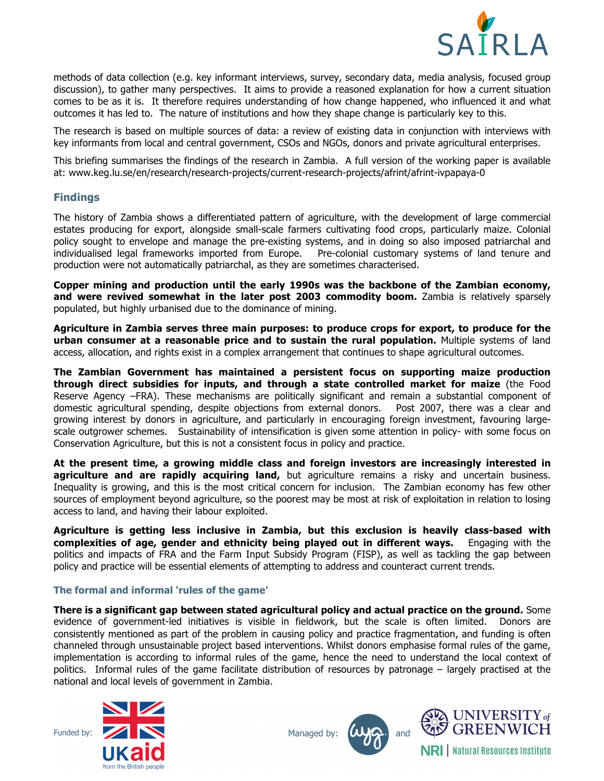

methods of data collection (e.g. key informant interviews, survey, secondary data, media analysis, focused group discussion), to gather many perspectives. It aims to provide a reasoned explanation for how a current situation comes to be as it is. It therefore requires understanding of how change happened, who influenced it and what outcomes it has led to. The nature of institutions and how they shape change is particularly key to this.

The research is based on multiple sources of data: a review of existing data in conjunction with interviews with key informants from local and central government, CSOs and NGOs, donors and private agricultural enterprises.

This briefing summarises the findings of the research in Zambia. A full version of the working paper is available at: www.keg.lu.se/en/research/research-projects/current-research-projects/afrint/afrint-ivpapaya-0

# **Findings**

The history of Zambia shows a differentiated pattern of agriculture, with the development of large commercial estates producing for export, alongside small-scale farmers cultivating food crops, particularly maize. Colonial policy sought to envelope and manage the pre-existing systems, and in doing so also imposed patriarchal and individualised legal frameworks imported from Europe. Pre-colonial customary systems of land tenure and production were not automatically patriarchal, as they are sometimes characterised.

**Copper mining and production until the early 1990s was the backbone of the Zambian economy,**  and were revived somewhat in the later post 2003 commodity boom. Zambia is relatively sparsely populated, but highly urbanised due to the dominance of mining.

**Agriculture in Zambia serves three main purposes: to produce crops for export, to produce for the urban consumer at a reasonable price and to sustain the rural population.** Multiple systems of land access, allocation, and rights exist in a complex arrangement that continues to shape agricultural outcomes.

**The Zambian Government has maintained a persistent focus on supporting maize production through direct subsidies for inputs, and through a state controlled market for maize** (the Food Reserve Agency –FRA). These mechanisms are politically significant and remain a substantial component of domestic agricultural spending, despite objections from external donors. Post 2007, there was a clear and growing interest by donors in agriculture, and particularly in encouraging foreign investment, favouring largescale outgrower schemes. Sustainability of intensification is given some attention in policy- with some focus on Conservation Agriculture, but this is not a consistent focus in policy and practice.

**At the present time, a growing middle class and foreign investors are increasingly interested in agriculture and are rapidly acquiring land,** but agriculture remains a risky and uncertain business. Inequality is growing, and this is the most critical concern for inclusion. The Zambian economy has few other sources of employment beyond agriculture, so the poorest may be most at risk of exploitation in relation to losing access to land, and having their labour exploited.

**Agriculture is getting less inclusive in Zambia, but this exclusion is heavily class-based with complexities of age, gender and ethnicity being played out in different ways.** Engaging with the politics and impacts of FRA and the Farm Input Subsidy Program (FISP), as well as tackling the gap between policy and practice will be essential elements of attempting to address and counteract current trends.

# **The formal and informal 'rules of the game'**

**There is a significant gap between stated agricultural policy and actual practice on the ground.** Some evidence of government-led initiatives is visible in fieldwork, but the scale is often limited. Donors are consistently mentioned as part of the problem in causing policy and practice fragmentation, and funding is often channeled through unsustainable project based interventions. Whilst donors emphasise formal rules of the game, implementation is according to informal rules of the game, hence the need to understand the local context of politics. Informal rules of the game facilitate distribution of resources by patronage – largely practised at the national and local levels of government in Zambia.



Managed by:





**NRI** | Natural Resources Institute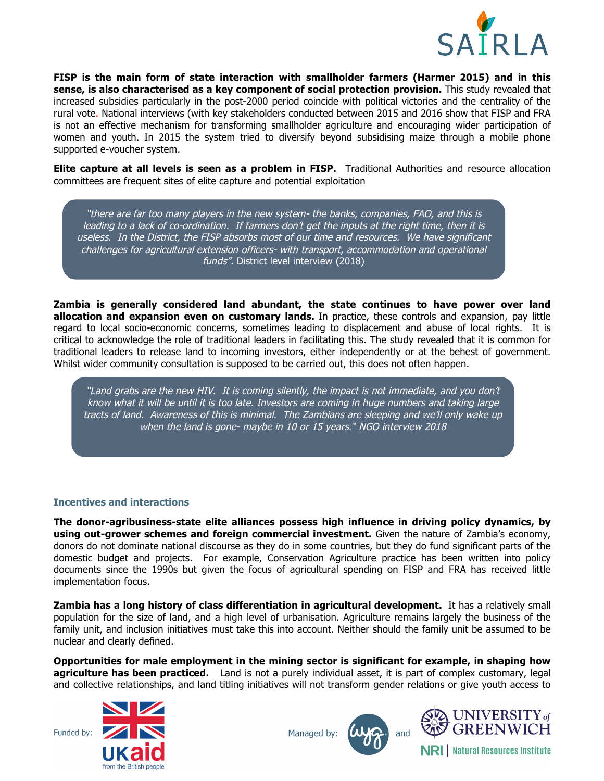

**FISP is the main form of state interaction with smallholder farmers (Harmer 2015) and in this sense, is also characterised as a key component of social protection provision.** This study revealed that increased subsidies particularly in the post-2000 period coincide with political victories and the centrality of the rural vote. National interviews (with key stakeholders conducted between 2015 and 2016 show that FISP and FRA is not an effective mechanism for transforming smallholder agriculture and encouraging wider participation of women and youth. In 2015 the system tried to diversify beyond subsidising maize through a mobile phone supported e-voucher system.

**Elite capture at all levels is seen as a problem in FISP.** Traditional Authorities and resource allocation committees are frequent sites of elite capture and potential exploitation

"there are far too many players in the new system- the banks, companies, FAO, and this is leading to a lack of co-ordination. If farmers don't get the inputs at the right time, then it is useless. In the District, the FISP absorbs most of our time and resources. We have significant challenges for agricultural extension officers- with transport, accommodation and operational funds". District level interview (2018)

**Zambia is generally considered land abundant, the state continues to have power over land allocation and expansion even on customary lands.** In practice, these controls and expansion, pay little regard to local socio-economic concerns, sometimes leading to displacement and abuse of local rights. It is critical to acknowledge the role of traditional leaders in facilitating this. The study revealed that it is common for traditional leaders to release land to incoming investors, either independently or at the behest of government. Whilst wider community consultation is supposed to be carried out, this does not often happen.

"Land grabs are the new HIV. It is coming silently, the impact is not immediate, and you don't know what it will be until it is too late. Investors are coming in huge numbers and taking large tracts of land. Awareness of this is minimal. The Zambians are sleeping and we'll only wake up when the land is gone- maybe in 10 or 15 years." NGO interview 2018

#### **Incentives and interactions**

**The donor-agribusiness-state elite alliances possess high influence in driving policy dynamics, by using out-grower schemes and foreign commercial investment.** Given the nature of Zambia's economy, donors do not dominate national discourse as they do in some countries, but they do fund significant parts of the domestic budget and projects. For example, Conservation Agriculture practice has been written into policy documents since the 1990s but given the focus of agricultural spending on FISP and FRA has received little implementation focus.

**Zambia has a long history of class differentiation in agricultural development.** It has a relatively small population for the size of land, and a high level of urbanisation. Agriculture remains largely the business of the family unit, and inclusion initiatives must take this into account. Neither should the family unit be assumed to be nuclear and clearly defined.

**Opportunities for male employment in the mining sector is significant for example, in shaping how agriculture has been practiced.** Land is not a purely individual asset, it is part of complex customary, legal and collective relationships, and land titling initiatives will not transform gender relations or give youth access to









**NRI** | Natural Resources Institute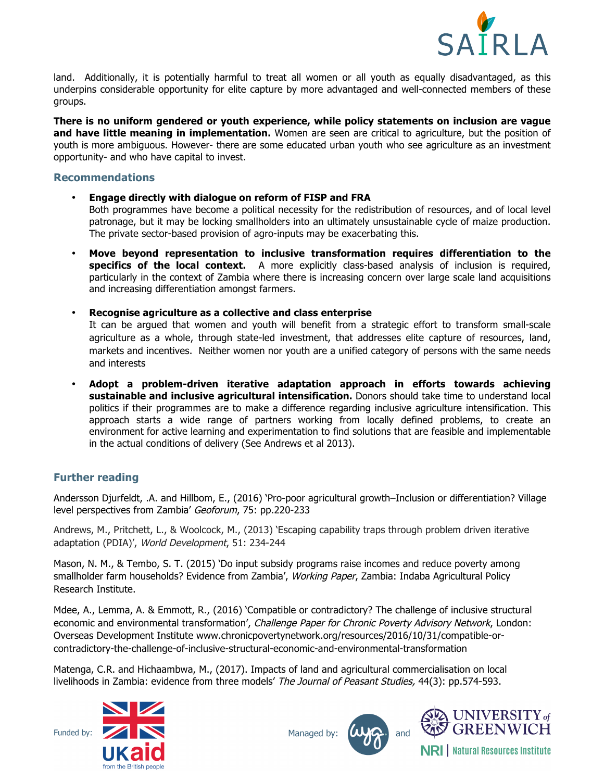

land. Additionally, it is potentially harmful to treat all women or all youth as equally disadvantaged, as this underpins considerable opportunity for elite capture by more advantaged and well-connected members of these groups.

**There is no uniform gendered or youth experience, while policy statements on inclusion are vague and have little meaning in implementation.** Women are seen are critical to agriculture, but the position of youth is more ambiguous. However- there are some educated urban youth who see agriculture as an investment opportunity- and who have capital to invest.

# **Recommendations**

- **Engage directly with dialogue on reform of FISP and FRA**  Both programmes have become a political necessity for the redistribution of resources, and of local level patronage, but it may be locking smallholders into an ultimately unsustainable cycle of maize production. The private sector-based provision of agro-inputs may be exacerbating this.
- **Move beyond representation to inclusive transformation requires differentiation to the**  specifics of the local context. A more explicitly class-based analysis of inclusion is required, particularly in the context of Zambia where there is increasing concern over large scale land acquisitions and increasing differentiation amongst farmers.
- **Recognise agriculture as a collective and class enterprise**

It can be argued that women and youth will benefit from a strategic effort to transform small-scale agriculture as a whole, through state-led investment, that addresses elite capture of resources, land, markets and incentives. Neither women nor youth are a unified category of persons with the same needs and interests

• **Adopt a problem-driven iterative adaptation approach in efforts towards achieving sustainable and inclusive agricultural intensification.** Donors should take time to understand local politics if their programmes are to make a difference regarding inclusive agriculture intensification. This approach starts a wide range of partners working from locally defined problems, to create an environment for active learning and experimentation to find solutions that are feasible and implementable in the actual conditions of delivery (See Andrews et al 2013).

# **Further reading**

Andersson Djurfeldt, .A. and Hillbom, E., (2016) 'Pro-poor agricultural growth–Inclusion or differentiation? Village level perspectives from Zambia' Geoforum, 75: pp.220-233

Andrews, M., Pritchett, L., & Woolcock, M., (2013) 'Escaping capability traps through problem driven iterative adaptation (PDIA)', World Development, 51: 234-244

Mason, N. M., & Tembo, S. T. (2015) 'Do input subsidy programs raise incomes and reduce poverty among smallholder farm households? Evidence from Zambia', Working Paper, Zambia: Indaba Agricultural Policy Research Institute.

Mdee, A., Lemma, A. & Emmott, R., (2016) 'Compatible or contradictory? The challenge of inclusive structural economic and environmental transformation', Challenge Paper for Chronic Poverty Advisory Network, London: Overseas Development Institute www.chronicpovertynetwork.org/resources/2016/10/31/compatible-orcontradictory-the-challenge-of-inclusive-structural-economic-and-environmental-transformation

Matenga, C.R. and Hichaambwa, M., (2017). Impacts of land and agricultural commercialisation on local livelihoods in Zambia: evidence from three models' The Journal of Peasant Studies, 44(3): pp.574-593.



Managed by:





**NRI** | Natural Resources Institute